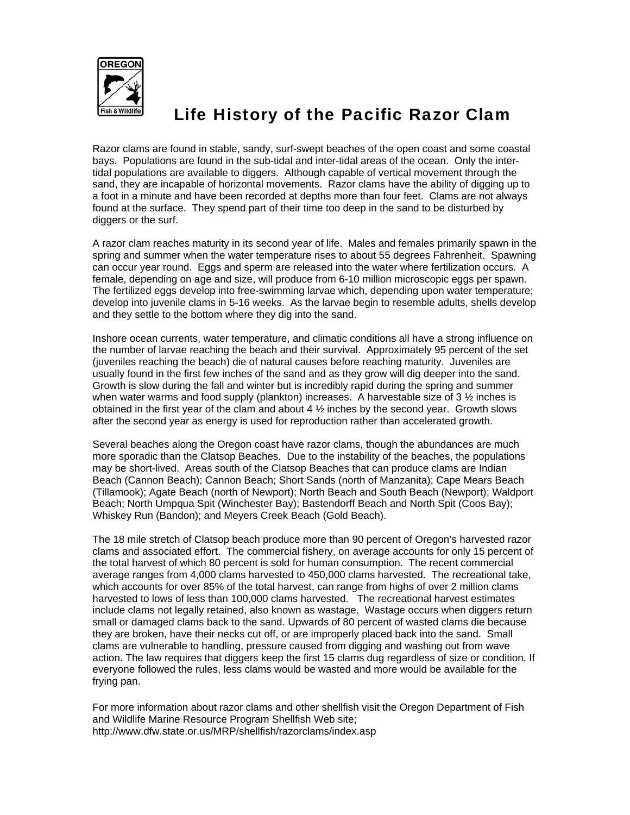

## Life History of the Pacific Razor Clam

Razor clams are found in stable, sandy, surf-swept beaches of the open coast and some coastal bays. Populations are found in the sub-tidal and inter-tidal areas of the ocean. Only the intertidal populations are available to diggers. Although capable of vertical movement through the sand, they are incapable of horizontal movements. Razor clams have the ability of digging up to a foot in a minute and have been recorded at depths more than four feet. Clams are not always found at the surface. They spend part of their time too deep in the sand to be disturbed by diggers or the surf.

A razor clam reaches maturity in its second year of life. Males and females primarily spawn in the spring and summer when the water temperature rises to about 55 degrees Fahrenheit. Spawning can occur year round. Eggs and sperm are released into the water where fertilization occurs. A female, depending on age and size, will produce from 6-10 million microscopic eggs per spawn. The fertilized eggs develop into free-swimming larvae which, depending upon water temperature; develop into juvenile clams in 5-16 weeks. As the larvae begin to resemble adults, shells develop and they settle to the bottom where they dig into the sand.

Inshore ocean currents, water temperature, and climatic conditions all have a strong influence on the number of larvae reaching the beach and their survival. Approximately 95 percent of the set (juveniles reaching the beach) die of natural causes before reaching maturity. Juveniles are usually found in the first few inches of the sand and as they grow will dig deeper into the sand. Growth is slow during the fall and winter but is incredibly rapid during the spring and summer when water warms and food supply (plankton) increases. A harvestable size of 3  $\frac{1}{2}$  inches is obtained in the first year of the clam and about  $4\frac{1}{2}$  inches by the second year. Growth slows after the second year as energy is used for reproduction rather than accelerated growth.

Several beaches along the Oregon coast have razor clams, though the abundances are much more sporadic than the Clatsop Beaches. Due to the instability of the beaches, the populations may be short-lived. Areas south of the Clatsop Beaches that can produce clams are Indian Beach (Cannon Beach); Cannon Beach; Short Sands (north of Manzanita); Cape Mears Beach (Tillamook); Agate Beach (north of Newport); North Beach and South Beach (Newport); Waldport Beach; North Umpqua Spit (Winchester Bay); Bastendorff Beach and North Spit (Coos Bay); Whiskey Run (Bandon); and Meyers Creek Beach (Gold Beach).

The 18 mile stretch of Clatsop beach produce more than 90 percent of Oregon's harvested razor clams and associated effort. The commercial fishery, on average accounts for only 15 percent of the total harvest of which 80 percent is sold for human consumption. The recent commercial average ranges from 4,000 clams harvested to 450,000 clams harvested. The recreational take, which accounts for over 85% of the total harvest, can range from highs of over 2 million clams harvested to lows of less than 100,000 clams harvested. The recreational harvest estimates include clams not legally retained, also known as wastage. Wastage occurs when diggers return small or damaged clams back to the sand. Upwards of 80 percent of wasted clams die because they are broken, have their necks cut off, or are improperly placed back into the sand. Small clams are vulnerable to handling, pressure caused from digging and washing out from wave action. The law requires that diggers keep the first 15 clams dug regardless of size or condition. If everyone followed the rules, less clams would be wasted and more would be available for the frying pan.

For more information about razor clams and other shellfish visit the Oregon Department of Fish and Wildlife Marine Resource Program Shellfish Web site; http://www.dfw.state.or.us/MRP/shellfish/razorclams/index.asp